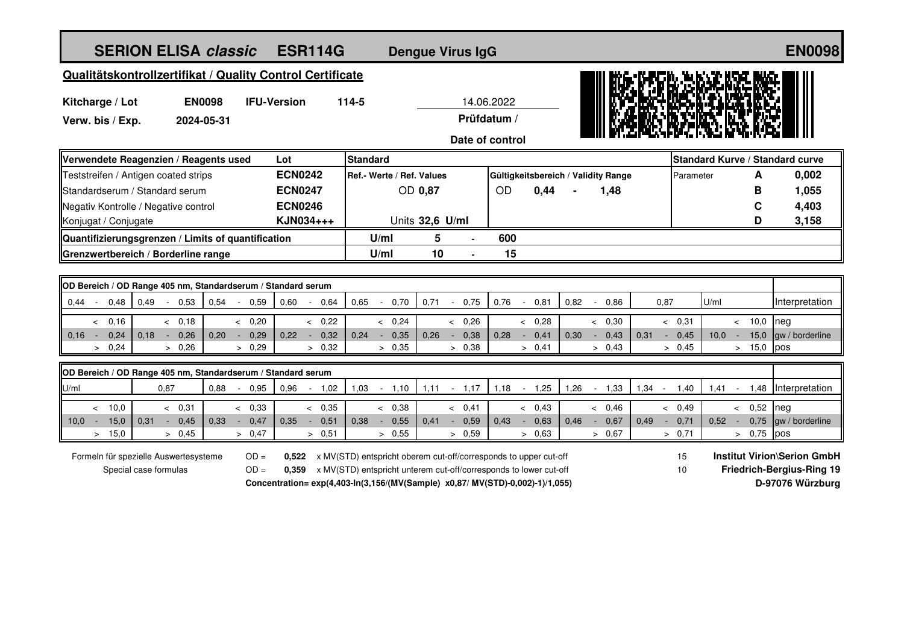| <b>SERION ELISA classic</b><br><b>ESR114G</b>                                             |                                                                        |                     |                                  | <b>Dengue Virus IgG</b>                                           |                                                                               |                |                |                |                                     |                                        |                |                                    |      |                | <b>EN0098</b>                   |
|-------------------------------------------------------------------------------------------|------------------------------------------------------------------------|---------------------|----------------------------------|-------------------------------------------------------------------|-------------------------------------------------------------------------------|----------------|----------------|----------------|-------------------------------------|----------------------------------------|----------------|------------------------------------|------|----------------|---------------------------------|
| Qualitätskontrollzertifikat / Quality Control Certificate                                 |                                                                        |                     |                                  |                                                                   |                                                                               |                |                |                |                                     |                                        |                |                                    |      |                |                                 |
|                                                                                           | <b>EN0098</b>                                                          | 14.06.2022<br>114-5 |                                  |                                                                   |                                                                               |                |                |                |                                     |                                        |                |                                    |      |                |                                 |
| Kitcharge / Lot<br>Verw. bis / Exp.<br>2024-05-31                                         |                                                                        | <b>IFU-Version</b>  |                                  | Prüfdatum /                                                       |                                                                               |                |                |                |                                     |                                        |                |                                    |      |                |                                 |
|                                                                                           |                                                                        |                     |                                  |                                                                   |                                                                               |                |                |                |                                     |                                        |                |                                    |      |                |                                 |
|                                                                                           |                                                                        |                     |                                  | Date of control                                                   |                                                                               |                |                |                |                                     |                                        |                |                                    |      |                |                                 |
| Verwendete Reagenzien / Reagents used                                                     |                                                                        |                     | Lot                              | <b>Standard</b>                                                   |                                                                               |                |                |                |                                     |                                        |                |                                    |      |                | Standard Kurve / Standard curve |
| Teststreifen / Antigen coated strips                                                      |                                                                        |                     | <b>ECN0242</b>                   |                                                                   | Ref.- Werte / Ref. Values                                                     |                |                |                | Gültigkeitsbereich / Validity Range |                                        |                | Parameter                          |      | A              | 0,002                           |
| Standardserum / Standard serum                                                            |                                                                        |                     | <b>ECN0247</b><br><b>ECN0246</b> |                                                                   | OD 0,87                                                                       |                | OD             | 0,44           |                                     | 1,48                                   |                |                                    |      | B<br>С         | 1,055                           |
| Negativ Kontrolle / Negative control<br>Konjugat / Conjugate                              |                                                                        |                     | KJN034+++                        |                                                                   | Units 32,6 U/ml                                                               |                |                |                |                                     |                                        |                |                                    |      | D              | 4,403<br>3,158                  |
|                                                                                           |                                                                        |                     |                                  | U/ml                                                              | 5                                                                             |                | 600            |                |                                     |                                        |                |                                    |      |                |                                 |
| Quantifizierungsgrenzen / Limits of quantification<br>Grenzwertbereich / Borderline range |                                                                        |                     |                                  | U/ml                                                              | 10                                                                            |                | 15             |                |                                     |                                        |                |                                    |      |                |                                 |
|                                                                                           |                                                                        |                     |                                  |                                                                   |                                                                               |                |                |                |                                     |                                        |                |                                    |      |                |                                 |
| OD Bereich / OD Range 405 nm, Standardserum / Standard serum                              |                                                                        |                     |                                  |                                                                   |                                                                               |                |                |                |                                     |                                        |                |                                    |      |                |                                 |
| 0,49<br>0.44<br>0,48                                                                      | 0,53<br>0,54                                                           | 0,59<br>$\sim$      | 0,60<br>0,64<br>$\blacksquare$   | 0,65<br>$\sim$                                                    | 0,71<br>0,70                                                                  | 0,75<br>$\sim$ | 0,76<br>$\sim$ | 0,81           | 0,82<br>$\sim$                      | 0.86                                   | 0,87           |                                    | U/ml |                | Interpretation                  |
| 0,16<br>$\prec$                                                                           | & 0.18                                                                 | & 0.20              | & 0.22                           |                                                                   | & 0.24                                                                        | < 0,26         |                | & 0.28         |                                     | & 0.30                                 |                | & 0.31                             |      | 10,0<br>$\leq$ | neg                             |
| 0,24<br>0,16<br>0.18<br>$\sim$                                                            | 0,26<br>0.20<br>$\sim$                                                 | 0,29<br>$\sim$      | 0.22<br>0,32<br>$\sim$           | 0.24<br>$\sim$                                                    | 0,35<br>0.26                                                                  | 0,38<br>$\sim$ | 0.28           | 0,41<br>$\sim$ | 0.30<br>$\sim$                      | 0,43                                   | 0,31<br>$\sim$ | 0,45                               | 10.0 | 15,0<br>$\sim$ | gw / borderline                 |
| 0,24<br>$\geq$                                                                            | > 0,26                                                                 | > 0,29              | > 0,32                           |                                                                   | > 0,35                                                                        | > 0.38         |                | > 0,41         |                                     | > 0,43                                 |                | > 0,45                             |      | > 15,0         | pos                             |
| OD Bereich / OD Range 405 nm, Standardserum / Standard serum                              |                                                                        |                     |                                  |                                                                   |                                                                               |                |                |                |                                     |                                        |                |                                    |      |                |                                 |
| U/ml                                                                                      | 0,87<br>0,88                                                           | 0,95<br>$\sim$      | 0,96<br>$-1,02$                  | 1,03                                                              | $-1,10$<br>1,11                                                               | $-1,17$        | 1,18           | $-1,25$        | 1,26                                | $-1,33$                                | 1,34<br>$\sim$ | 1,40                               | 1,41 | 1,48<br>$\sim$ | Interpretation                  |
| 10,0<br>$\lt$                                                                             | & 0,31                                                                 | & 0,33              | & 0,35                           |                                                                   | & 0,38                                                                        | & 0,41         |                | & 0,43         |                                     | & 0,46                                 |                | & 0,49                             |      | & 0,52         | neg                             |
| 15,0<br>10,0<br>0.31<br>$\sim$                                                            | $-0,45$<br>0.33                                                        | 0,47<br>$\sim$      | 0.35<br>0,51<br>$\sim 10^{-11}$  | 0.38<br>$\sim$                                                    | 0,55<br>0.41                                                                  | 0,59<br>$\sim$ | 0.43           | 0,63<br>$\sim$ | 0.46<br>$\sim 10^{-1}$              | 0,67                                   | 0.49           | $-0,71$                            | 0.52 | 0,75<br>$\sim$ | gw / borderline                 |
| > 15,0                                                                                    | > 0,45                                                                 | > 0,47              | > 0,51                           |                                                                   | > 0.55                                                                        | > 0.59         |                | > 0,63         |                                     | > 0.67                                 |                | > 0,71                             |      | > 0,75         | pos                             |
| Formeln für spezielle Auswertesysteme                                                     | 0,522 x MV(STD) entspricht oberem cut-off/corresponds to upper cut-off |                     |                                  |                                                                   |                                                                               |                |                |                | 15                                  |                                        |                | <b>Institut Virion\Serion GmbH</b> |      |                |                                 |
| $OD =$<br>Special case formulas                                                           |                                                                        |                     | 0,359                            | x MV(STD) entspricht unterem cut-off/corresponds to lower cut-off |                                                                               |                |                |                |                                     | <b>Friedrich-Bergius-Ring 19</b><br>10 |                |                                    |      |                |                                 |
|                                                                                           |                                                                        |                     |                                  |                                                                   | Concentration= exp(4,403-In(3,156/(MV(Sample) x0,87/ MV(STD)-0,002)-1)/1,055) |                |                |                |                                     |                                        |                |                                    |      |                | D-97076 Würzburg                |
|                                                                                           |                                                                        |                     |                                  |                                                                   |                                                                               |                |                |                |                                     |                                        |                |                                    |      |                |                                 |
|                                                                                           |                                                                        |                     |                                  |                                                                   |                                                                               |                |                |                |                                     |                                        |                |                                    |      |                |                                 |
|                                                                                           |                                                                        |                     |                                  |                                                                   |                                                                               |                |                |                |                                     |                                        |                |                                    |      |                |                                 |
|                                                                                           |                                                                        |                     |                                  |                                                                   |                                                                               |                |                |                |                                     |                                        |                |                                    |      |                |                                 |
|                                                                                           |                                                                        |                     |                                  |                                                                   |                                                                               |                |                |                |                                     |                                        |                |                                    |      |                |                                 |